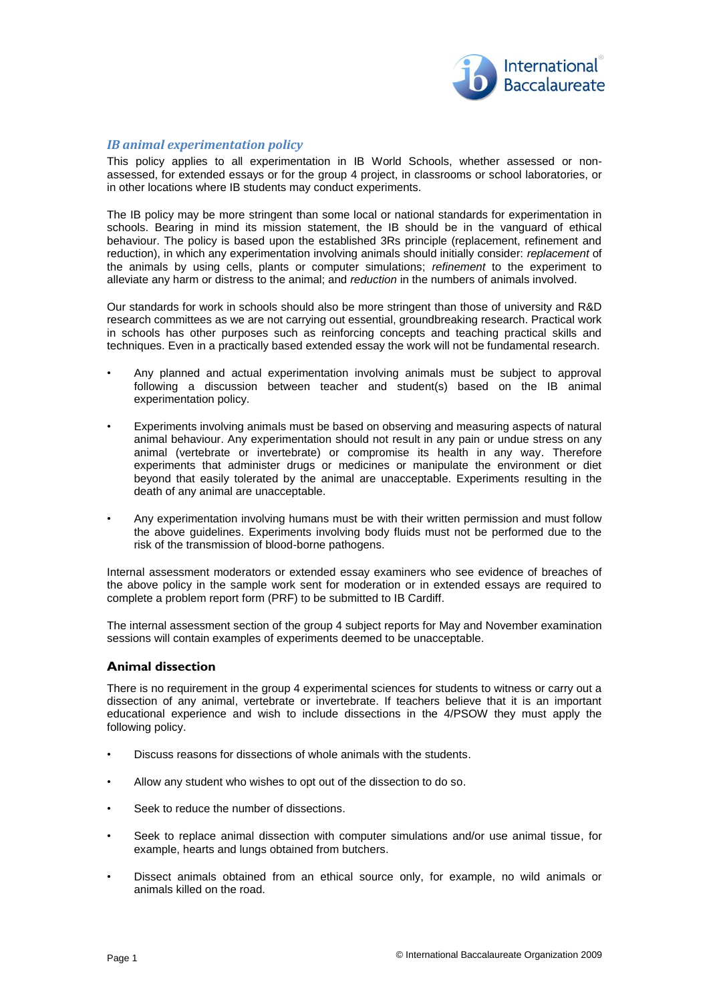

## *IB animal experimentation policy*

This policy applies to all experimentation in IB World Schools, whether assessed or nonassessed, for extended essays or for the group 4 project, in classrooms or school laboratories, or in other locations where IB students may conduct experiments.

The IB policy may be more stringent than some local or national standards for experimentation in schools. Bearing in mind its mission statement, the IB should be in the vanguard of ethical behaviour. The policy is based upon the established 3Rs principle (replacement, refinement and reduction), in which any experimentation involving animals should initially consider: *replacement* of the animals by using cells, plants or computer simulations; *refinement* to the experiment to alleviate any harm or distress to the animal; and *reduction* in the numbers of animals involved.

Our standards for work in schools should also be more stringent than those of university and R&D research committees as we are not carrying out essential, groundbreaking research. Practical work in schools has other purposes such as reinforcing concepts and teaching practical skills and techniques. Even in a practically based extended essay the work will not be fundamental research.

- Any planned and actual experimentation involving animals must be subject to approval following a discussion between teacher and student(s) based on the IB animal experimentation policy.
- Experiments involving animals must be based on observing and measuring aspects of natural animal behaviour. Any experimentation should not result in any pain or undue stress on any animal (vertebrate or invertebrate) or compromise its health in any way. Therefore experiments that administer drugs or medicines or manipulate the environment or diet beyond that easily tolerated by the animal are unacceptable. Experiments resulting in the death of any animal are unacceptable.
- Any experimentation involving humans must be with their written permission and must follow the above guidelines. Experiments involving body fluids must not be performed due to the risk of the transmission of blood-borne pathogens.

Internal assessment moderators or extended essay examiners who see evidence of breaches of the above policy in the sample work sent for moderation or in extended essays are required to complete a problem report form (PRF) to be submitted to IB Cardiff.

The internal assessment section of the group 4 subject reports for May and November examination sessions will contain examples of experiments deemed to be unacceptable.

## **Animal dissection**

There is no requirement in the group 4 experimental sciences for students to witness or carry out a dissection of any animal, vertebrate or invertebrate. If teachers believe that it is an important educational experience and wish to include dissections in the 4/PSOW they must apply the following policy.

- Discuss reasons for dissections of whole animals with the students.
- Allow any student who wishes to opt out of the dissection to do so.
- Seek to reduce the number of dissections.
- Seek to replace animal dissection with computer simulations and/or use animal tissue, for example, hearts and lungs obtained from butchers.
- Dissect animals obtained from an ethical source only, for example, no wild animals or animals killed on the road.